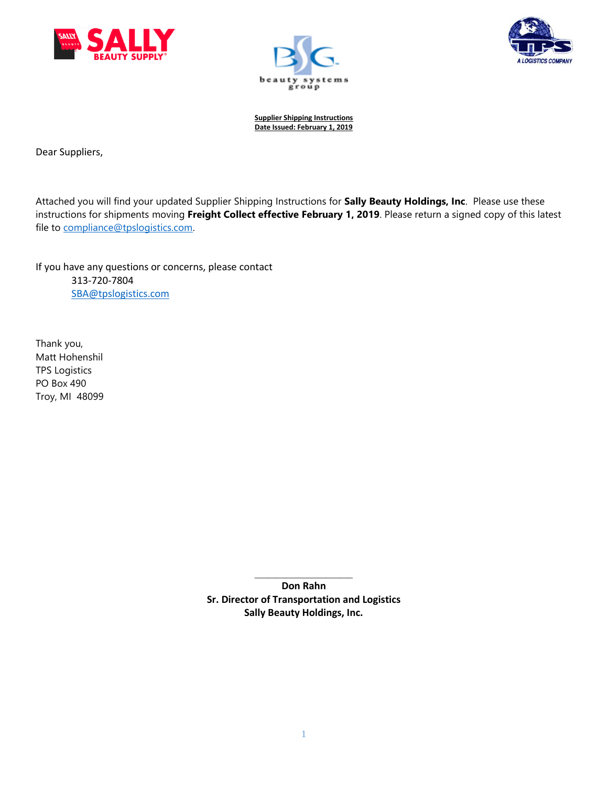





Dear Suppliers,

Attached you will find your updated Supplier Shipping Instructions for **Sally Beauty Holdings, Inc**. Please use these instructions for shipments moving **Freight Collect effective February 1, 2019**. Please return a signed copy of this latest file to [compliance@tpslogistics.com.](mailto:compliance@tpslogistics.com)

If you have any questions or concerns, please contact 313-720-7804 [SBA@tpslogistics.com](mailto:SBA@tpslogistics.com)

Thank you, Matt Hohenshil TPS Logistics PO Box 490 Troy, MI 48099

> \_\_\_\_\_\_\_\_\_\_\_\_\_\_\_\_\_\_\_\_\_\_ **Don Rahn Sr. Director of Transportation and Logistics Sally Beauty Holdings, Inc.**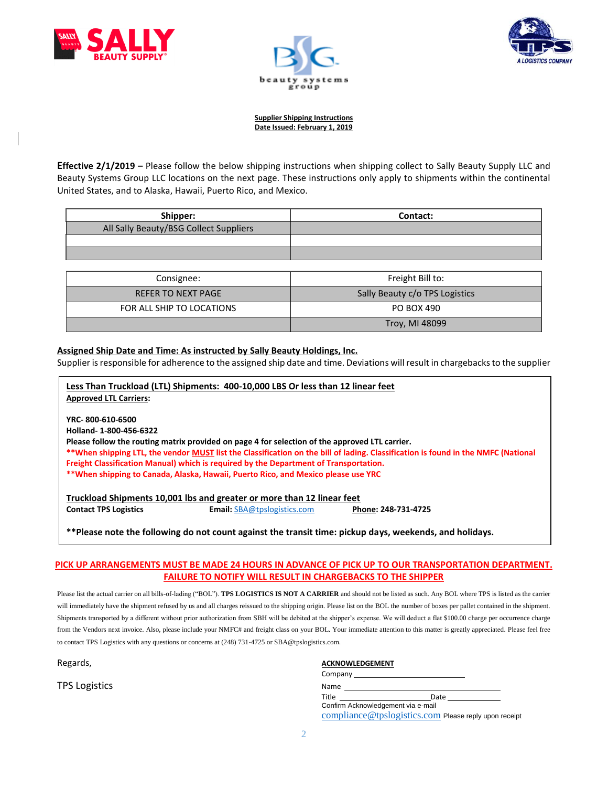





**Effective 2/1/2019 –** Please follow the below shipping instructions when shipping collect to Sally Beauty Supply LLC and Beauty Systems Group LLC locations on the next page. These instructions only apply to shipments within the continental United States, and to Alaska, Hawaii, Puerto Rico, and Mexico.

| Shipper:                               | Contact: |
|----------------------------------------|----------|
| All Sally Beauty/BSG Collect Suppliers |          |
|                                        |          |
|                                        |          |

| Consignee:                | Freight Bill to:               |  |  |  |  |  |
|---------------------------|--------------------------------|--|--|--|--|--|
| <b>REFER TO NEXT PAGE</b> | Sally Beauty c/o TPS Logistics |  |  |  |  |  |
| FOR ALL SHIP TO LOCATIONS | PO BOX 490                     |  |  |  |  |  |
|                           | Troy, MI 48099                 |  |  |  |  |  |

## **Assigned Ship Date and Time: As instructed by Sally Beauty Holdings, Inc.**

Supplier is responsible for adherence to the assigned ship date and time. Deviations will result in chargebacks to the supplier

| Less Than Truckload (LTL) Shipments: 400-10,000 LBS Or less than 12 linear feet<br><b>Approved LTL Carriers:</b>                                                                                                                                                                                                                                                                                                                                                |
|-----------------------------------------------------------------------------------------------------------------------------------------------------------------------------------------------------------------------------------------------------------------------------------------------------------------------------------------------------------------------------------------------------------------------------------------------------------------|
| YRC-800-610-6500<br>Holland-1-800-456-6322<br>Please follow the routing matrix provided on page 4 for selection of the approved LTL carrier.<br>**When shipping LTL, the vendor MUST list the Classification on the bill of lading. Classification is found in the NMFC (National<br>Freight Classification Manual) which is required by the Department of Transportation.<br>**When shipping to Canada, Alaska, Hawaii, Puerto Rico, and Mexico please use YRC |
| Truckload Shipments 10,001 lbs and greater or more than 12 linear feet<br><b>Contact TPS Logistics</b><br><b>Email:</b> SBA@tpslogistics.com<br>Phone: 248-731-4725                                                                                                                                                                                                                                                                                             |

**\*\*Please note the following do not count against the transit time: pickup days, weekends, and holidays.**

## **PICK UP ARRANGEMENTS MUST BE MADE 24 HOURS IN ADVANCE OF PICK UP TO OUR TRANSPORTATION DEPARTMENT. FAILURE TO NOTIFY WILL RESULT IN CHARGEBACKS TO THE SHIPPER**

Please list the actual carrier on all bills-of-lading ("BOL"). TPS LOGISTICS IS NOT A CARRIER and should not be listed as such. Any BOL where TPS is listed as the carrier will immediately have the shipment refused by us and all charges reissued to the shipping origin. Please list on the BOL the number of boxes per pallet contained in the shipment. Shipments transported by a different without prior authorization from SBH will be debited at the shipper's expense. We will deduct a flat \$100.00 charge per occurrence charge from the Vendors next invoice. Also, please include your NMFC# and freight class on your BOL. Your immediate attention to this matter is greatly appreciated*.* Please feel free to contact TPS Logistics with any questions or concerns at (248) 731-4725 or SBA@tpslogistics.com.

**TPS Logistics** 

#### Regards, **ACKNOWLEDGEMENT ACKNOWLEDGEMENT**

| Company                            |                                                       |  |
|------------------------------------|-------------------------------------------------------|--|
| Name                               |                                                       |  |
| Title                              | Date                                                  |  |
| Confirm Acknowledgement via e-mail |                                                       |  |
|                                    | compliance@tpslogistics.com Please reply upon receipt |  |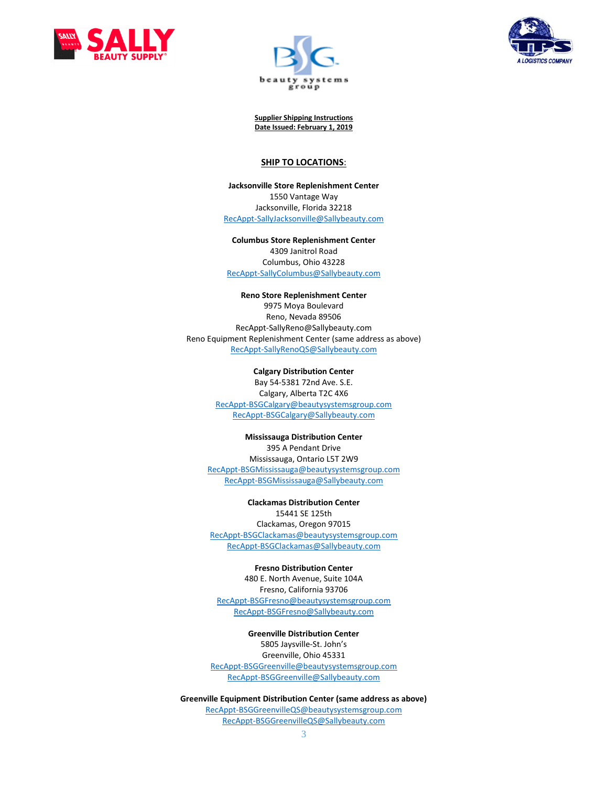





#### **SHIP TO LOCATIONS**:

**Jacksonville Store Replenishment Center** 1550 Vantage Way Jacksonville, Florida 32218 [RecAppt-SallyJacksonville@Sallybeauty.com](mailto:RecAppt-SallyJacksonville@Sallybeauty.com)

**Columbus Store Replenishment Center** 4309 Janitrol Road Columbus, Ohio 43228 [RecAppt-SallyColumbus@Sallybeauty.com](mailto:RecAppt-SallyColumbus@Sallybeauty.com)

**Reno Store Replenishment Center** 9975 Moya Boulevard Reno, Nevada 89506 RecAppt-SallyReno@Sallybeauty.com Reno Equipment Replenishment Center (same address as above) [RecAppt-SallyRenoQS@Sallybeauty.com](mailto:RecAppt-SallyRenoQS@Sallybeauty.com)

> **Calgary Distribution Center** Bay 54-5381 72nd Ave. S.E. Calgary, Alberta T2C 4X6 [RecAppt-BSGCalgary@beautysystemsgroup.com](mailto:RecAppt-BSGCalgary@beautysystemsgroup.com) [RecAppt-BSGCalgary@Sallybeauty.com](mailto:RecAppt-BSGCalgary@Sallybeauty.com)

**Mississauga Distribution Center** 395 A Pendant Drive Mississauga, Ontario L5T 2W9 [RecAppt-BSGMississauga@beautysystemsgroup.com](mailto:RecAppt-BSGMississauga@beautysystemsgroup.com) [RecAppt-BSGMississauga@Sallybeauty.com](mailto:RecAppt-BSGMississauga@Sallybeauty.com)

**Clackamas Distribution Center** 15441 SE 125th Clackamas, Oregon 97015 [RecAppt-BSGClackamas@beautysystemsgroup.com](mailto:RecAppt-BSGClackamas@beautysystemsgroup.com) [RecAppt-BSGClackamas@Sallybeauty.com](mailto:RecAppt-BSGClackamas@Sallybeauty.com)

**Fresno Distribution Center** 480 E. North Avenue, Suite 104A Fresno, California 93706 [RecAppt-BSGFresno@beautysystemsgroup.com](mailto:RecAppt-BSGFresno@beautysystemsgroup.com) [RecAppt-BSGFresno@Sallybeauty.com](mailto:RecAppt-BSGFresno@Sallybeauty.com)

**Greenville Distribution Center** 5805 Jaysville-St. John's Greenville, Ohio 45331 [RecAppt-BSGGreenville@beautysystemsgroup.com](mailto:RecAppt-BSGGreenville@beautysystemsgroup.com) [RecAppt-BSGGreenville@Sallybeauty.com](mailto:RecAppt-BSGGreenville@Sallybeauty.com)

**Greenville Equipment Distribution Center (same address as above)** [RecAppt-BSGGreenvilleQS@beautysystemsgroup.com](mailto:RecAppt-BSGGreenvilleQS@beautysystemsgroup.com) [RecAppt-BSGGreenvilleQS@Sallybeauty.com](mailto:RecAppt-BSGGreenvilleQS@Sallybeauty.com)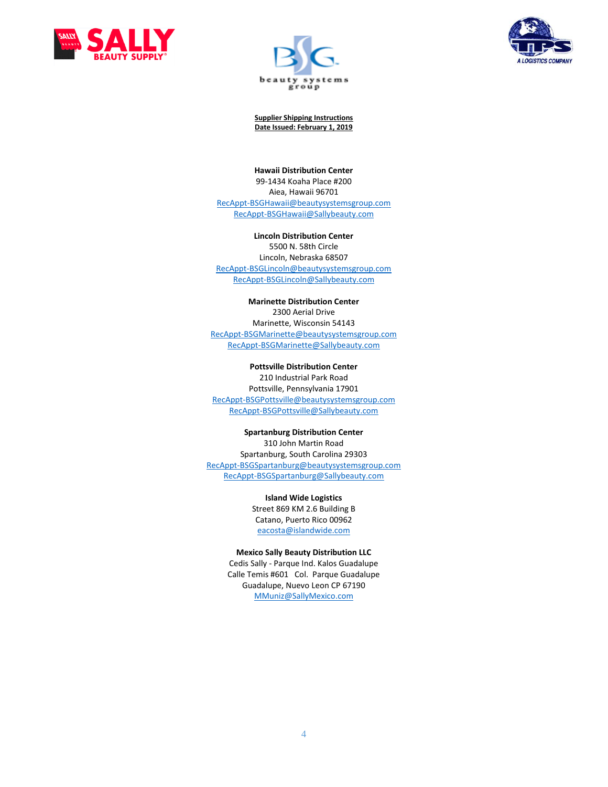





**Hawaii Distribution Center**

99-1434 Koaha Place #200 Aiea, Hawaii 96701 [RecAppt-BSGHawaii@beautysystemsgroup.com](mailto:RecAppt-BSGHawaii@beautysystemsgroup.com) [RecAppt-BSGHawaii@Sallybeauty.com](mailto:RecAppt-BSGHawaii@Sallybeauty.com)

**Lincoln Distribution Center** 5500 N. 58th Circle Lincoln, Nebraska 68507 [RecAppt-BSGLincoln@beautysystemsgroup.com](mailto:RecAppt-BSGLincoln@beautysystemsgroup.com) [RecAppt-BSGLincoln@Sallybeauty.com](mailto:RecAppt-BSGLincoln@Sallybeauty.com)

### **Marinette Distribution Center** 2300 Aerial Drive Marinette, Wisconsin 54143 [RecAppt-BSGMarinette@beautysystemsgroup.com](mailto:RecAppt-BSGMarinette@beautysystemsgroup.com) [RecAppt-BSGMarinette@Sallybeauty.com](mailto:RecAppt-BSGMarinette@Sallybeauty.com)

**Pottsville Distribution Center** 210 Industrial Park Road Pottsville, Pennsylvania 17901 [RecAppt-BSGPottsville@beautysystemsgroup.com](mailto:RecAppt-BSGPottsville@beautysystemsgroup.com) [RecAppt-BSGPottsville@Sallybeauty.com](mailto:RecAppt-BSGPottsville@Sallybeauty.com)

**Spartanburg Distribution Center** 310 John Martin Road Spartanburg, South Carolina 29303 [RecAppt-BSGSpartanburg@beautysystemsgroup.com](mailto:RecAppt-BSGSpartanburg@beautysystemsgroup.com) [RecAppt-BSGSpartanburg@Sallybeauty.com](mailto:RecAppt-BSGSpartanburg@Sallybeauty.com)

> **Island Wide Logistics**  Street 869 KM 2.6 Building B Catano, Puerto Rico 00962 [eacosta@islandwide.com](mailto:eacosta@islandwide.com)

## **Mexico Sally Beauty Distribution LLC**

Cedis Sally - Parque Ind. Kalos Guadalupe Calle Temis #601 Col. Parque Guadalupe Guadalupe, Nuevo Leon CP 67190 [MMuniz@SallyMexico.com](mailto:MMuniz@SallyMexico.com)